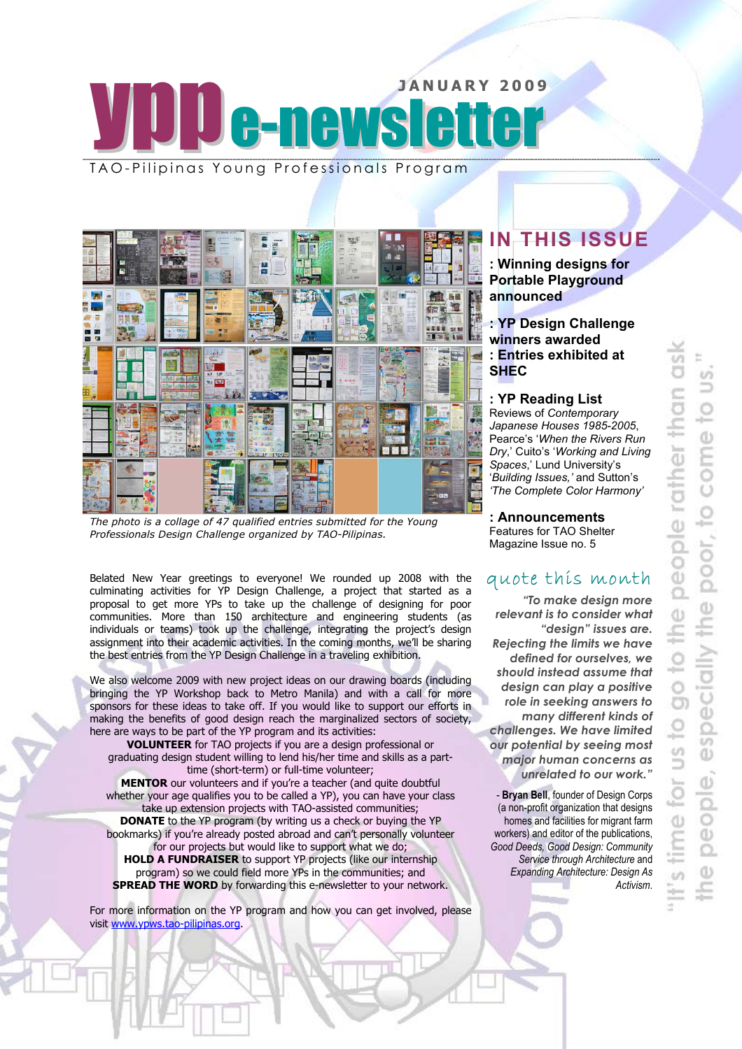# JANUARY 2009 TAO-Pilipinas Young Professionals Program

×.  $\leq 5$ u hill 置 聖旨 F  $\sqrt{2}$  $\mathbf{r}$ R

*The photo is a collage of 47 qualified entries submitted for the Young Professionals Design Challenge organized by TAO-Pilipinas.* 

Belated New Year greetings to everyone! We rounded up 2008 with the culminating activities for YP Design Challenge, a project that started as a proposal to get more YPs to take up the challenge of designing for poor communities. More than 150 architecture and engineering students (as individuals or teams) took up the challenge, integrating the project's design assignment into their academic activities. In the coming months, we'll be sharing the best entries from the YP Design Challenge in a traveling exhibition.

We also welcome 2009 with new project ideas on our drawing boards (including bringing the YP Workshop back to Metro Manila) and with a call for more sponsors for these ideas to take off. If you would like to support our efforts in making the benefits of good design reach the marginalized sectors of society, here are ways to be part of the YP program and its activities:

**VOLUNTEER** for TAO projects if you are a design professional or graduating design student willing to lend his/her time and skills as a parttime (short-term) or full-time volunteer;

**MENTOR** our volunteers and if you're a teacher (and quite doubtful whether your age qualifies you to be called a YP), you can have your class take up extension projects with TAO-assisted communities; **DONATE** to the YP program (by writing us a check or buying the YP bookmarks) if you're already posted abroad and can't personally volunteer for our projects but would like to support what we do; **HOLD A FUNDRAISER** to support YP projects (like our internship program) so we could field more YPs in the communities; and

**SPREAD THE WORD** by forwarding this e-newsletter to your network.

For more information on the YP program and how you can get involved, please visit www.ypws.tao-pilipinas.org.

# **IN THIS ISSUE**

**: Winning designs for Portable Playground announced** 

### **: YP Design Challenge winners awarded : Entries exhibited at SHEC**

### **: YP Reading List**

Reviews of *Contemporary Japanese Houses 1985-2005*, Pearce's '*When the Rivers Run Dry*,' Cuito's '*Working and Living Spaces*,' Lund University's '*Building Issues,'* and Sutton's *'The Complete Color Harmony'* 

## **: Announcements**

Features for TAO Shelter Magazine Issue no. 5

# quote this month

*"To make design more relevant is to consider what "design" issues are. Rejecting the limits we have defined for ourselves, we should instead assume that design can play a positive role in seeking answers to many different kinds of challenges. We have limited our potential by seeing most major human concerns as unrelated to our work."* 

- **Bryan Bell**, founder of Design Corps (a non-profit organization that designs homes and facilities for migrant farm workers) and editor of the publications, *Good Deeds, Good Design: Community Service through Architecture* and *Expanding Architecture: Design As Activism*.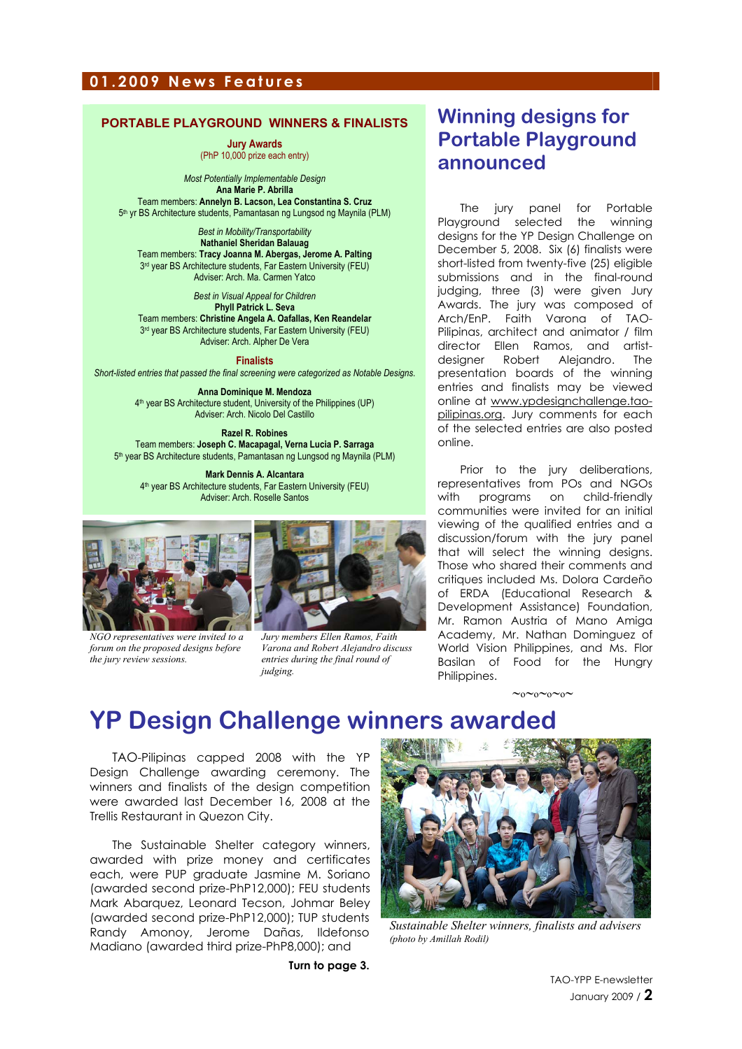### **01.2009 News Features**

### **PORTABLE PLAYGROUND WINNERS & FINALISTS**

**Jury Awards** (PhP 10,000 prize each entry)

*Most Potentially Implementable Design*  **Ana Marie P. Abrilla**  Team members: **Annelyn B. Lacson, Lea Constantina S. Cruz** 5th yr BS Architecture students, Pamantasan ng Lungsod ng Maynila (PLM)

*Best in Mobility/Transportability*  **Nathaniel Sheridan Balauag**  Team members: **Tracy Joanna M. Abergas, Jerome A. Palting** 3<sup>rd</sup> year BS Architecture students, Far Eastern University (FEU) Adviser: Arch. Ma. Carmen Yatco

*Best in Visual Appeal for Children*  **Phyll Patrick L. Seva**  Team members: **Christine Angela A. Oafallas, Ken Reandelar** 3<sup>rd</sup> year BS Architecture students, Far Eastern University (FEU) Adviser: Arch. Alpher De Vera

**Finalists**  *Short-listed entries that passed the final screening were categorized as Notable Designs.* 

> **Anna Dominique M. Mendoza**  4th year BS Architecture student, University of the Philippines (UP) Adviser: Arch. Nicolo Del Castillo

**Razel R. Robines**  Team members: **Joseph C. Macapagal, Verna Lucia P. Sarraga** 5th year BS Architecture students, Pamantasan ng Lungsod ng Maynila (PLM)

**Mark Dennis A. Alcantara**  4th year BS Architecture students, Far Eastern University (FEU) Adviser: Arch. Roselle Santos



*NGO representatives were invited to a forum on the proposed designs before the jury review sessions.*

*Jury members Ellen Ramos, Faith Varona and Robert Alejandro discuss entries during the final round of judging.*

# **Winning designs for Portable Playground announced**

The jury panel for Portable Playground selected the winning designs for the YP Design Challenge on December 5, 2008. Six (6) finalists were short-listed from twenty-five (25) eligible submissions and in the final-round judging, three (3) were given Jury Awards. The jury was composed of Arch/EnP. Faith Varona of TAO-Pilipinas, architect and animator / film director Ellen Ramos, and artistdesigner Robert Alejandro. The presentation boards of the winning entries and finalists may be viewed online at www.ypdesignchallenge.taopilipinas.org. Jury comments for each of the selected entries are also posted online.

Prior to the jury deliberations, representatives from POs and NGOs with programs on child-friendly communities were invited for an initial viewing of the qualified entries and a discussion/forum with the jury panel that will select the winning designs. Those who shared their comments and critiques included Ms. Dolora Cardeño of ERDA (Educational Research & Development Assistance) Foundation, Mr. Ramon Austria of Mano Amiga Academy, Mr. Nathan Dominguez of World Vision Philippines, and Ms. Flor Basilan of Food for the Hungry Philippines.

∼o∼o∼o∼o∼

# **YP Design Challenge winners awarded**

TAO-Pilipinas capped 2008 with the YP Design Challenge awarding ceremony. The winners and finalists of the design competition were awarded last December 16, 2008 at the Trellis Restaurant in Quezon City.

The Sustainable Shelter category winners, awarded with prize money and certificates each, were PUP graduate Jasmine M. Soriano (awarded second prize-PhP12,000); FEU students Mark Abarquez, Leonard Tecson, Johmar Beley (awarded second prize-PhP12,000); TUP students Randy Amonoy, Jerome Dañas, Ildefonso Madiano (awarded third prize-PhP8,000); and

**Turn to page 3.** 



*Sustainable Shelter winners, finalists and advisers (photo by Amillah Rodil)*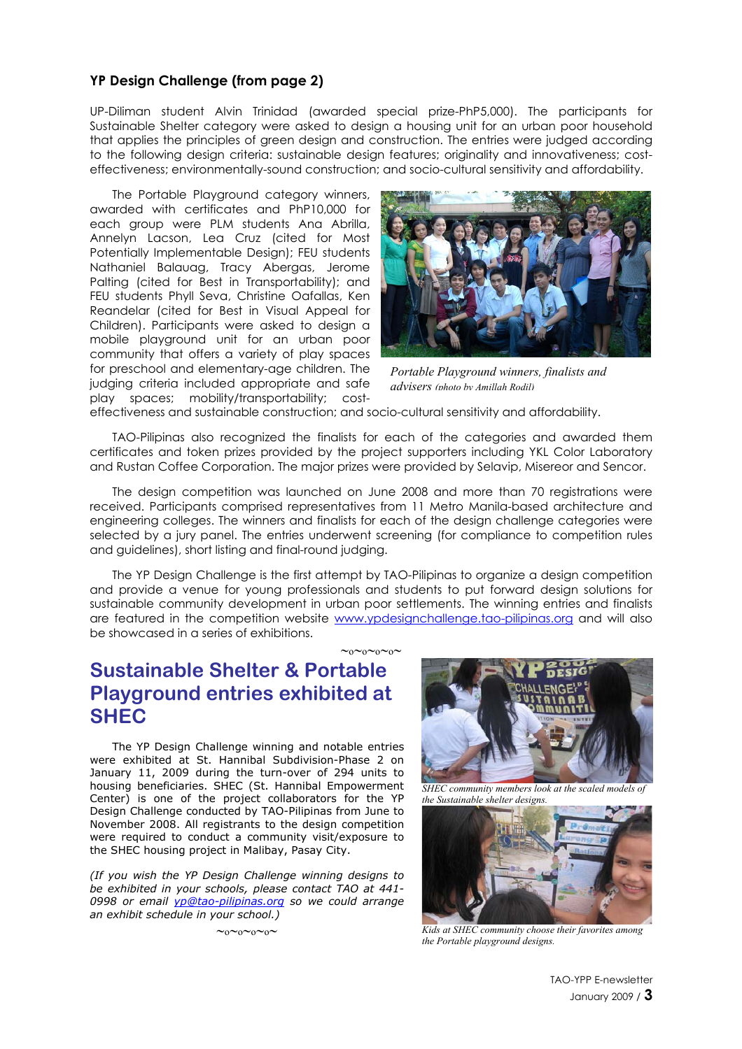### **YP Design Challenge (from page 2)**

UP-Diliman student Alvin Trinidad (awarded special prize-PhP5,000). The participants for Sustainable Shelter category were asked to design a housing unit for an urban poor household that applies the principles of green design and construction. The entries were judged according to the following design criteria: sustainable design features; originality and innovativeness; costeffectiveness; environmentally-sound construction; and socio-cultural sensitivity and affordability.

The Portable Playground category winners, awarded with certificates and PhP10,000 for each group were PLM students Ana Abrilla, Annelyn Lacson, Lea Cruz (cited for Most Potentially Implementable Design); FEU students Nathaniel Balauag, Tracy Abergas, Jerome Palting (cited for Best in Transportability); and FEU students Phyll Seva, Christine Oafallas, Ken Reandelar (cited for Best in Visual Appeal for Children). Participants were asked to design a mobile playground unit for an urban poor community that offers a variety of play spaces for preschool and elementary-age children. The judging criteria included appropriate and safe play spaces; mobility/transportability; cost-



*Portable Playground winners, finalists and advisers (photo by Amillah Rodil)*

effectiveness and sustainable construction; and socio-cultural sensitivity and affordability.

TAO-Pilipinas also recognized the finalists for each of the categories and awarded them certificates and token prizes provided by the project supporters including YKL Color Laboratory and Rustan Coffee Corporation. The major prizes were provided by Selavip, Misereor and Sencor.

The design competition was launched on June 2008 and more than 70 registrations were received. Participants comprised representatives from 11 Metro Manila-based architecture and engineering colleges. The winners and finalists for each of the design challenge categories were selected by a jury panel. The entries underwent screening (for compliance to competition rules and guidelines), short listing and final-round judging.

The YP Design Challenge is the first attempt by TAO-Pilipinas to organize a design competition and provide a venue for young professionals and students to put forward design solutions for sustainable community development in urban poor settlements. The winning entries and finalists are featured in the competition website www.ypdesignchallenge.tao-pilipinas.org and will also be showcased in a series of exhibitions.

 $\sim_0 \sim_0 \sim_0 \sim_0$ 

# **Sustainable Shelter & Portable Playground entries exhibited at SHEC**

The YP Design Challenge winning and notable entries were exhibited at St. Hannibal Subdivision-Phase 2 on January 11, 2009 during the turn-over of 294 units to housing beneficiaries. SHEC (St. Hannibal Empowerment Center) is one of the project collaborators for the YP Design Challenge conducted by TAO-Pilipinas from June to November 2008. All registrants to the design competition were required to conduct a community visit/exposure to the SHEC housing project in Malibay, Pasay City.

*(If you wish the YP Design Challenge winning designs to be exhibited in your schools, please contact TAO at 441- 0998 or email yp@tao-pilipinas.org so we could arrange an exhibit schedule in your school.)* 



*SHEC community members look at the scaled models of the Sustainable shelter designs.* 



∼o∼o∼o∼o∼ *Kids at SHEC community choose their favorites among the Portable playground designs.* 

TAO-YPP E-newsletter January 2009 / **3**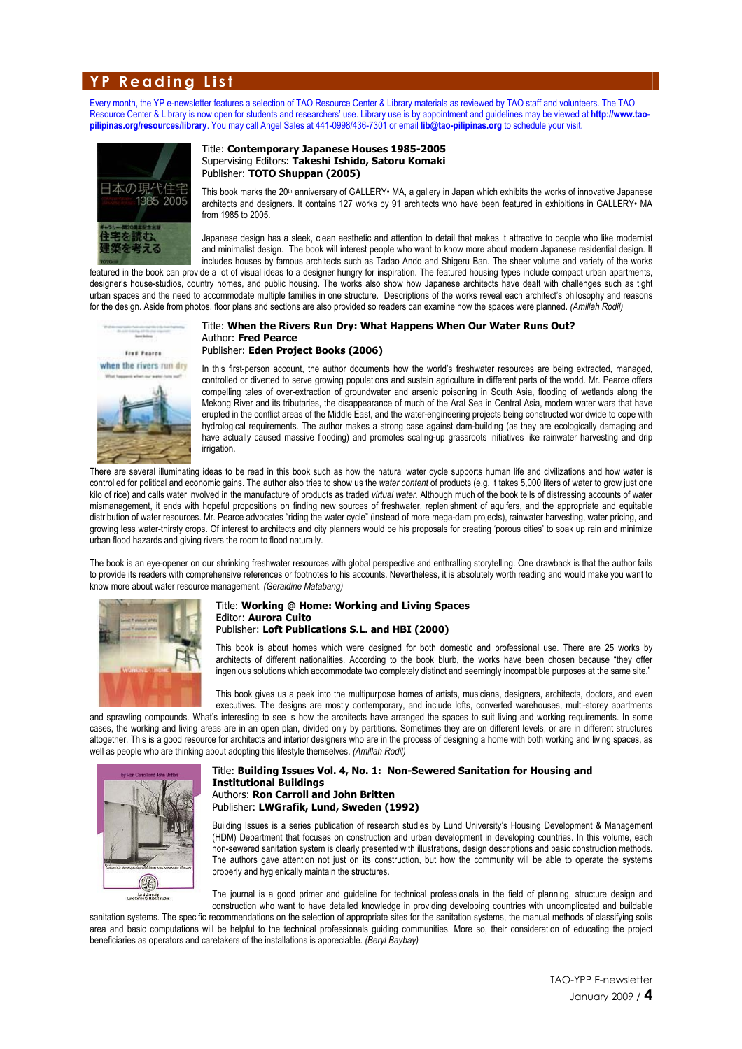### **YP Reading List**

Every month, the YP e-newsletter features a selection of TAO Resource Center & Library materials as reviewed by TAO staff and volunteers. The TAO Resource Center & Library is now open for students and researchers' use. Library use is by appointment and guidelines may be viewed at **http://www.taopilipinas.org/resources/library**. You may call Angel Sales at 441-0998/436-7301 or email **lib@tao-pilipinas.org** to schedule your visit.



#### Title: **Contemporary Japanese Houses 1985-2005**  Supervising Editors: **Takeshi Ishido, Satoru Komaki**  Publisher: **TOTO Shuppan (2005)**

This book marks the 20<sup>th</sup> anniversary of GALLERY• MA, a gallery in Japan which exhibits the works of innovative Japanese architects and designers. It contains 127 works by 91 architects who have been featured in exhibitions in GALLERY• MA from 1985 to 2005.

Japanese design has a sleek, clean aesthetic and attention to detail that makes it attractive to people who like modernist and minimalist design. The book will interest people who want to know more about modern Japanese residential design. It includes houses by famous architects such as Tadao Ando and Shigeru Ban. The sheer volume and variety of the works

featured in the book can provide a lot of visual ideas to a designer hungry for inspiration. The featured housing types include compact urban apartments, designer's house-studios, country homes, and public housing. The works also show how Japanese architects have dealt with challenges such as tight urban spaces and the need to accommodate multiple families in one structure. Descriptions of the works reveal each architect's philosophy and reasons for the design. Aside from photos, floor plans and sections are also provided so readers can examine how the spaces were planned. *(Amillah Rodil)*



when the rivers run dry



#### Title: **When the Rivers Run Dry: What Happens When Our Water Runs Out?**  Author: **Fred Pearce**  Publisher: **Eden Project Books (2006)**

In this first-person account, the author documents how the world's freshwater resources are being extracted, managed, controlled or diverted to serve growing populations and sustain agriculture in different parts of the world. Mr. Pearce offers compelling tales of over-extraction of groundwater and arsenic poisoning in South Asia, flooding of wetlands along the Mekong River and its tributaries, the disappearance of much of the Aral Sea in Central Asia, modern water wars that have erupted in the conflict areas of the Middle East, and the water-engineering projects being constructed worldwide to cope with hydrological requirements. The author makes a strong case against dam-building (as they are ecologically damaging and have actually caused massive flooding) and promotes scaling-up grassroots initiatives like rainwater harvesting and drip irrigation

There are several illuminating ideas to be read in this book such as how the natural water cycle supports human life and civilizations and how water is controlled for political and economic gains. The author also tries to show us the *water content* of products (e.g. it takes 5,000 liters of water to grow just one kilo of rice) and calls water involved in the manufacture of products as traded *virtual water.* Although much of the book tells of distressing accounts of water mismanagement, it ends with hopeful propositions on finding new sources of freshwater, replenishment of aquifers, and the appropriate and equitable distribution of water resources. Mr. Pearce advocates "riding the water cycle" (instead of more mega-dam projects), rainwater harvesting, water pricing, and growing less water-thirsty crops. Of interest to architects and city planners would be his proposals for creating 'porous cities' to soak up rain and minimize urban flood hazards and giving rivers the room to flood naturally.

The book is an eye-opener on our shrinking freshwater resources with global perspective and enthralling storytelling. One drawback is that the author fails to provide its readers with comprehensive references or footnotes to his accounts. Nevertheless, it is absolutely worth reading and would make you want to know more about water resource management. *(Geraldine Matabang)*



### Title: **Working @ Home: Working and Living Spaces**  Editor: **Aurora Cuito**  Publisher: **Loft Publications S.L. and HBI (2000)**

This book is about homes which were designed for both domestic and professional use. There are 25 works by architects of different nationalities. According to the book blurb, the works have been chosen because "they offer ingenious solutions which accommodate two completely distinct and seemingly incompatible purposes at the same site."

This book gives us a peek into the multipurpose homes of artists, musicians, designers, architects, doctors, and even executives. The designs are mostly contemporary, and include lofts, converted warehouses, multi-storey apartments

and sprawling compounds. What's interesting to see is how the architects have arranged the spaces to suit living and working requirements. In some cases, the working and living areas are in an open plan, divided only by partitions. Sometimes they are on different levels, or are in different structures altogether. This is a good resource for architects and interior designers who are in the process of designing a home with both working and living spaces, as well as people who are thinking about adopting this lifestyle themselves. *(Amillah Rodil)*



#### Title: **Building Issues Vol. 4, No. 1: Non-Sewered Sanitation for Housing and Institutional Buildings**  Authors: **Ron Carroll and John Britten**  Publisher: **LWGrafik, Lund, Sweden (1992)**

Building Issues is a series publication of research studies by Lund University's Housing Development & Management (HDM) Department that focuses on construction and urban development in developing countries. In this volume, each non-sewered sanitation system is clearly presented with illustrations, design descriptions and basic construction methods. The authors gave attention not just on its construction, but how the community will be able to operate the systems properly and hygienically maintain the structures.

The journal is a good primer and guideline for technical professionals in the field of planning, structure design and construction who want to have detailed knowledge in providing developing countries with uncomplicated and buildable

sanitation systems. The specific recommendations on the selection of appropriate sites for the sanitation systems, the manual methods of classifying soils area and basic computations will be helpful to the technical professionals guiding communities. More so, their consideration of educating the project beneficiaries as operators and caretakers of the installations is appreciable. *(Beryl Baybay)*